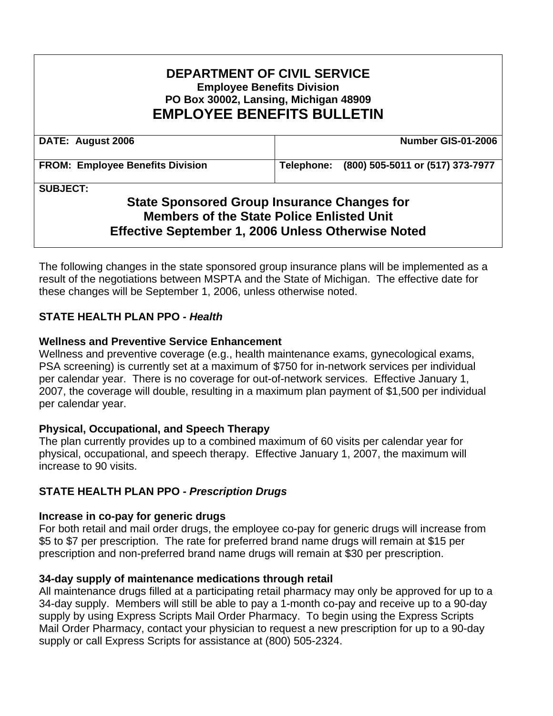### **DEPARTMENT OF CIVIL SERVICE Employee Benefits Division PO Box 30002, Lansing, Michigan 48909 EMPLOYEE BENEFITS BULLETIN**

| DATE: August 2006                       | Number GIS-01-2006                          |
|-----------------------------------------|---------------------------------------------|
| <b>FROM: Employee Benefits Division</b> | Telephone: (800) 505-5011 or (517) 373-7977 |

**SUBJECT:** 

# **State Sponsored Group Insurance Changes for Members of the State Police Enlisted Unit Effective September 1, 2006 Unless Otherwise Noted**

The following changes in the state sponsored group insurance plans will be implemented as a result of the negotiations between MSPTA and the State of Michigan. The effective date for these changes will be September 1, 2006, unless otherwise noted.

### **STATE HEALTH PLAN PPO** *- Health*

#### **Wellness and Preventive Service Enhancement**

Wellness and preventive coverage (e.g., health maintenance exams, gynecological exams, PSA screening) is currently set at a maximum of \$750 for in-network services per individual per calendar year. There is no coverage for out-of-network services. Effective January 1, 2007, the coverage will double, resulting in a maximum plan payment of \$1,500 per individual per calendar year.

#### **Physical, Occupational, and Speech Therapy**

The plan currently provides up to a combined maximum of 60 visits per calendar year for physical, occupational, and speech therapy. Effective January 1, 2007, the maximum will increase to 90 visits.

### **STATE HEALTH PLAN PPO** *- Prescription Drugs*

#### **Increase in co-pay for generic drugs**

For both retail and mail order drugs, the employee co-pay for generic drugs will increase from \$5 to \$7 per prescription. The rate for preferred brand name drugs will remain at \$15 per prescription and non-preferred brand name drugs will remain at \$30 per prescription.

#### **34-day supply of maintenance medications through retail**

All maintenance drugs filled at a participating retail pharmacy may only be approved for up to a 34-day supply. Members will still be able to pay a 1-month co-pay and receive up to a 90-day supply by using Express Scripts Mail Order Pharmacy. To begin using the Express Scripts Mail Order Pharmacy, contact your physician to request a new prescription for up to a 90-day supply or call Express Scripts for assistance at (800) 505-2324.